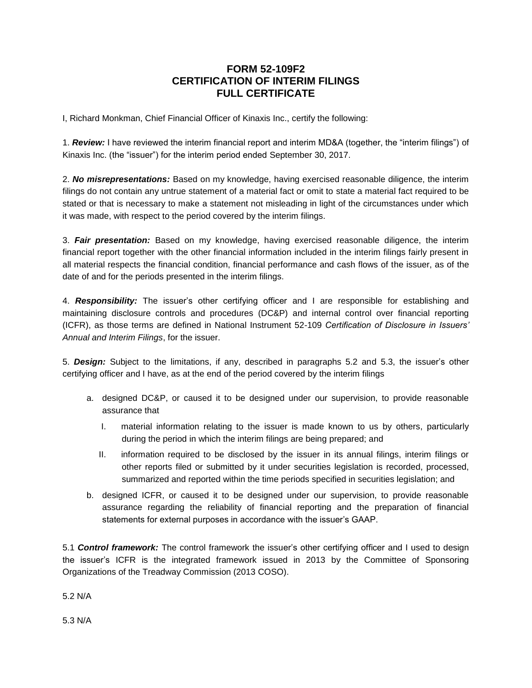## **FORM 52-109F2 CERTIFICATION OF INTERIM FILINGS FULL CERTIFICATE**

I, Richard Monkman, Chief Financial Officer of Kinaxis Inc., certify the following:

1. *Review:* I have reviewed the interim financial report and interim MD&A (together, the "interim filings") of Kinaxis Inc. (the "issuer") for the interim period ended September 30, 2017.

2. *No misrepresentations:* Based on my knowledge, having exercised reasonable diligence, the interim filings do not contain any untrue statement of a material fact or omit to state a material fact required to be stated or that is necessary to make a statement not misleading in light of the circumstances under which it was made, with respect to the period covered by the interim filings.

3. *Fair presentation:* Based on my knowledge, having exercised reasonable diligence, the interim financial report together with the other financial information included in the interim filings fairly present in all material respects the financial condition, financial performance and cash flows of the issuer, as of the date of and for the periods presented in the interim filings.

4. *Responsibility:* The issuer's other certifying officer and I are responsible for establishing and maintaining disclosure controls and procedures (DC&P) and internal control over financial reporting (ICFR), as those terms are defined in National Instrument 52-109 *Certification of Disclosure in Issuers' Annual and Interim Filings*, for the issuer.

5. *Design:* Subject to the limitations, if any, described in paragraphs 5.2 and 5.3, the issuer's other certifying officer and I have, as at the end of the period covered by the interim filings

- a. designed DC&P, or caused it to be designed under our supervision, to provide reasonable assurance that
	- I. material information relating to the issuer is made known to us by others, particularly during the period in which the interim filings are being prepared; and
	- II. information required to be disclosed by the issuer in its annual filings, interim filings or other reports filed or submitted by it under securities legislation is recorded, processed, summarized and reported within the time periods specified in securities legislation; and
- b. designed ICFR, or caused it to be designed under our supervision, to provide reasonable assurance regarding the reliability of financial reporting and the preparation of financial statements for external purposes in accordance with the issuer's GAAP.

5.1 *Control framework:* The control framework the issuer's other certifying officer and I used to design the issuer's ICFR is the integrated framework issued in 2013 by the Committee of Sponsoring Organizations of the Treadway Commission (2013 COSO).

5.2 N/A

5.3 N/A